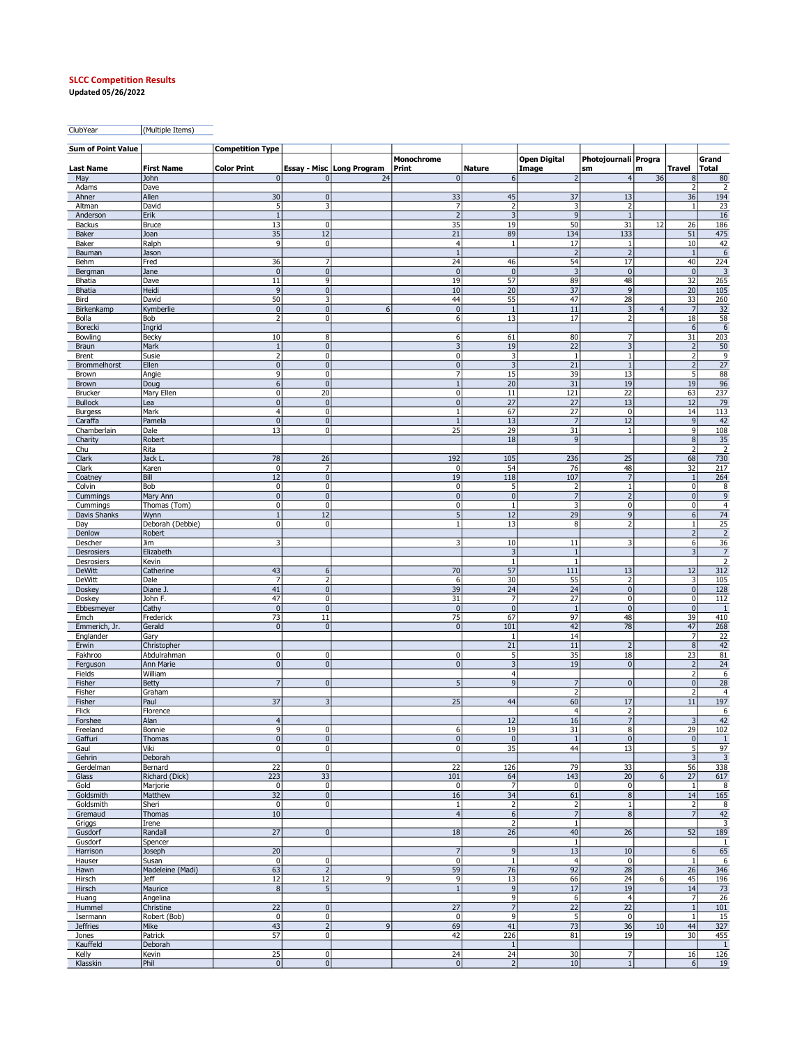## SLCC Competition Results

Updated 05/26/2022

ClubYear (Multiple Items)

| <b>Sum of Point Value</b> |                           | <b>Competition Type</b> |                                  |                             |                                  |                              |                              |                                           |                |                             |                         |
|---------------------------|---------------------------|-------------------------|----------------------------------|-----------------------------|----------------------------------|------------------------------|------------------------------|-------------------------------------------|----------------|-----------------------------|-------------------------|
| <b>Last Name</b>          | <b>First Name</b>         | <b>Color Print</b>      |                                  | Essay - Misc   Long Program | Monochrome<br>Print              | <b>Nature</b>                | <b>Open Digital</b><br>Image | Photojournali Progra<br>sm                | m              | Travel                      | Grand<br>Total          |
| May                       | John                      | 0                       | $\mathbf{0}$                     | 24                          | $\overline{0}$                   | 6                            | $\overline{2}$               | $\overline{4}$                            | 36             | 8                           | 80                      |
| Adams                     | Dave                      |                         |                                  |                             |                                  |                              |                              |                                           |                | $\overline{2}$              | $\overline{2}$          |
| Ahner<br>Altman           | Allen<br>David            | 30<br>5                 | $\overline{0}$<br>3              |                             | 33<br>7                          | 45<br>$\overline{2}$         | 37<br>3                      | 13<br>2                                   |                | 36<br>$\mathbf{1}$          | 194<br>23               |
| Anderson                  | Erik                      | $\overline{1}$          |                                  |                             | $\overline{2}$                   | $\overline{3}$               | 9                            | $\mathbf{1}$                              |                |                             | 16                      |
| Backus                    | <b>Bruce</b>              | 13                      | $\mathbf{0}$                     |                             | 35                               | 19                           | 50                           | 31                                        | 12             | 26                          | 186                     |
| Baker                     | Joan                      | 35                      | 12                               |                             | 21                               | 89                           | 134                          | 133                                       |                | 51                          | 475                     |
| Baker                     | Ralph                     | $\overline{9}$          | 0                                |                             | $\overline{4}$                   | $\mathbf{1}$                 | 17                           | 1                                         |                | 10                          | 42                      |
| Bauman<br>Behm            | Jason<br>Fred             | 36                      | $\overline{7}$                   |                             | $\mathbf{1}$<br>24               | 46                           | $\overline{2}$<br>54         | $\overline{2}$<br>17                      |                | $\mathbf{1}$<br>40          | $\sqrt{6}$<br>224       |
| Bergman                   | Jane                      | 0                       | $\overline{0}$                   |                             | $\overline{0}$                   | $\overline{0}$               | 3                            | $\mathbf 0$                               |                | $\mathbf{0}$                | $\overline{\mathbf{3}}$ |
| Bhatia                    | Dave                      | 11                      | 9                                |                             | 19                               | 57                           | 89                           | 48                                        |                | 32                          | 265                     |
| <b>Bhatia</b>             | Heidi                     | $\vert 9 \vert$         | $\overline{0}$                   |                             | 10                               | 20                           | 37                           | 9                                         |                | 20                          | 105                     |
| Bird                      | David                     | 50<br> 0                | $\overline{3}$<br>$\overline{0}$ | 6                           | 44<br>$\overline{0}$             | 55                           | 47<br>11                     | 28                                        | $\overline{4}$ | 33<br>$\overline{7}$        | 260                     |
| Birkenkamp<br>Bolla       | Kymberlie<br>Bob          | $\overline{2}$          | 0                                |                             | 6                                | $\mathbf{1}$<br>13           | 17                           | $\overline{\mathbf{3}}$<br>$\overline{2}$ |                | 18                          | 32<br>58                |
| Borecki                   | Ingrid                    |                         |                                  |                             |                                  |                              |                              |                                           |                | 6                           | $\sqrt{6}$              |
| Bowling                   | Becky                     | 10                      | 8                                |                             | 6                                | 61                           | 80                           | 7                                         |                | 31                          | 203                     |
| <b>Braun</b>              | Mark                      | 1                       | 0                                |                             | $\overline{3}$                   | 19                           | 22                           | $\overline{3}$                            |                | $\overline{2}$              | 50                      |
| Brent                     | Susie                     | $\overline{2}$          | 0                                |                             | $\pmb{0}$                        | 3                            | $\mathbf{1}$                 | $\mathbf{1}$                              |                | $\overline{2}$              | 9                       |
| Brommelhorst<br>Brown     | Ellen<br>Angie            | 0 <br>$\overline{9}$    | $\overline{0}$<br>0              |                             | $\overline{0}$<br>$\overline{7}$ | 3<br>15                      | 21<br>39                     | $1\,$<br>13                               |                | $\overline{2}$<br>5         | $\overline{27}$<br>88   |
| Brown                     | Doug                      | 6                       | $\pmb{0}$                        |                             | $\,1\,$                          | 20                           | 31                           | 19                                        |                | 19                          | 96                      |
| <b>Brucker</b>            | Mary Ellen                | $\overline{0}$          | 20                               |                             | $\pmb{0}$                        | 11                           | 121                          | 22                                        |                | 63                          | 237                     |
| <b>Bullock</b>            | Lea                       | 0                       | 0                                |                             | $\overline{0}$                   | 27                           | 27                           | 13                                        |                | 12                          | 79                      |
| <b>Burgess</b>            | Mark                      | $\overline{4}$          | $\overline{0}$                   |                             | $1\,$                            | 67                           | $\overline{27}$              | $\mathbf 0$                               |                | 14                          | 113                     |
| Caraffa<br>Chamberlain    | Pamela<br>Dale            | $\pmb{0}$<br>13         | $\overline{0}$<br>$\overline{0}$ |                             | $\mathbf{1}$<br>25               | 13<br>29                     | $\overline{7}$<br>31         | 12<br>$\mathbf{1}$                        |                | 9<br>9                      | 42<br>108               |
| Charity                   | Robert                    |                         |                                  |                             |                                  | 18                           | 9                            |                                           |                | $\bf 8$                     | 35                      |
| Chu                       | Rita                      |                         |                                  |                             |                                  |                              |                              |                                           |                | $\overline{2}$              | $\overline{2}$          |
| Clark                     | Jack I                    | 78                      | 26                               |                             | 192                              | 105                          | 236                          | 25                                        |                | 68                          | 730                     |
| Clark                     | Karen                     | $\mathbf 0$             | 7                                |                             | 0                                | 54                           | 76                           | 48                                        |                | 32                          | 217                     |
| Coatney                   | Bill<br>Bob               | 12<br>$\overline{0}$    | $\overline{0}$<br>0              |                             | 19<br>$\pmb{0}$                  | 118<br>5                     | 107<br>$\overline{2}$        | $\overline{7}$<br>$\mathbf{1}$            |                | $\mathbf{1}$<br>$\pmb{0}$   | 264<br>8                |
| Colvin<br>Cummings        | Mary Ann                  | 0                       | $\overline{0}$                   |                             | $\overline{0}$                   | $\overline{0}$               | $\overline{7}$               | $\overline{2}$                            |                | $\mathbf 0$                 | 9                       |
| Cummings                  | Thomas (Tom)              | $\overline{0}$          | 0                                |                             | $\pmb{0}$                        | $\mathbf{1}$                 | $\overline{\mathbf{3}}$      | $\mathbf 0$                               |                | 0                           | $\overline{4}$          |
| Davis Shanks              | Wynn                      | $\mathbf{1}$            | 12                               |                             | 5 <sup>1</sup>                   | 12                           | 29                           | 9                                         |                | 6                           | 74                      |
| Day                       | Deborah (Debbie)          | $\mathbf{0}$            | $\overline{0}$                   |                             | $\mathbf{1}$                     | 13                           | 8                            | $\overline{2}$                            |                | $\mathbf{1}$                | 25                      |
| Denlow                    | Robert                    |                         |                                  |                             |                                  |                              |                              |                                           |                | $\overline{2}$              | $\overline{2}$          |
| Descher<br>Desrosiers     | Jim<br>Elizabeth          | 3                       |                                  |                             | 3                                | 10<br>$\overline{3}$         | 11<br>$1\,$                  | 3                                         |                | 6<br>3                      | 36<br>$\overline{7}$    |
| Desrosiers                | Kevin                     |                         |                                  |                             |                                  | $\mathbf{1}$                 | $\mathbf{1}$                 |                                           |                |                             | $\overline{2}$          |
| <b>DeWitt</b>             | Catherine                 | 43                      | 6 <sup>1</sup>                   |                             | 70                               | 57                           | 111                          | 13                                        |                | 12                          | 312                     |
| <b>DeWitt</b>             | Dale                      | $\overline{7}$          | $\overline{2}$                   |                             | 6                                | 30                           | 55                           | $\overline{2}$                            |                | 3                           | 105                     |
| Doskey                    | Diane J                   | 41                      | $\pmb{0}$                        |                             | 39                               | 24                           | 24                           | $\pmb{0}$                                 |                | $\pmb{0}$                   | 128                     |
| Doskey<br>Ebbesmeyer      | John F.<br>Cathy          | 47<br> 0                | $\overline{0}$<br> 0             |                             | 31<br>$\overline{0}$             | 7<br>$\overline{0}$          | 27<br>$\mathbf{1}$           | $\mathbf 0$<br>$\mathbf{0}$               |                | $\mathbf 0$<br>$\mathbf{0}$ | 112<br>1                |
| Emch                      | Frederick                 | 73                      | 11                               |                             | 75                               | 67                           | 97                           | 48                                        |                | 39                          | 410                     |
| Emmerich, Jr.             | Gerald                    | 0                       | $\overline{0}$                   |                             | $\overline{0}$                   | 101                          | 42                           | 78                                        |                | 47                          | 268                     |
| Englander                 | Gary                      |                         |                                  |                             |                                  | 1                            | 14                           |                                           |                | 7                           | 22                      |
| Erwin                     | Christopher               |                         |                                  |                             |                                  | 21                           | 11                           | $\overline{2}$                            |                | $\overline{8}$              | 42                      |
| Fakhroo<br>Ferguson       | Abdulrahman<br>Ann Marie  | $\overline{0}$<br> 0    | $\overline{0}$<br> 0             |                             | $\pmb{0}$<br>$\overline{0}$      | 5<br>$\overline{\mathbf{3}}$ | 35<br>19                     | 18<br>$\mathbf 0$                         |                | 23<br>$\overline{2}$        | 81<br>24                |
| Fields                    | William                   |                         |                                  |                             |                                  | $\overline{4}$               |                              |                                           |                | $\overline{2}$              | $\boldsymbol{6}$        |
| Fisher                    | <b>Betty</b>              | $\overline{7}$          | $\overline{0}$                   |                             | 5                                | $\overline{9}$               | $\overline{7}$               | $\mathbf{0}$                              |                | $\mathbf 0$                 | 28                      |
| Fisher                    | Graham                    |                         |                                  |                             |                                  |                              | $\overline{2}$               |                                           |                | $\overline{2}$              | $\overline{4}$          |
| Fisher                    | Paul                      | 37                      | 3                                |                             | 25                               | 44                           | 60                           | 17                                        |                | 11                          | 197                     |
| Flick<br>Forshee          | Florence<br>Alan          | $\overline{4}$          |                                  |                             |                                  | 12                           | $\vert 4 \vert$<br>16        | $\overline{2}$<br>$\overline{7}$          |                | 3                           | 6<br>42                 |
| Freeland                  | Bonnie                    | $\overline{9}$          | 0                                |                             | 6                                | 19                           | 31                           | 8                                         |                | 29                          | 102                     |
| Gaffuri                   | Thomas                    | 0                       | 0                                |                             | $\mathbf{0}$                     | 0                            | $\mathbf{1}$                 | $\mathbf 0$                               |                | 0                           | 1                       |
| Gaul                      | Viki                      | $\overline{0}$          | $\overline{0}$                   |                             | $\pmb{0}$                        | 35                           | 44                           | 13                                        |                | 5                           | 97                      |
| Gehrin                    | Deborah                   |                         |                                  |                             |                                  |                              |                              |                                           |                | 3                           | $\overline{3}$          |
| Gerdelman<br>Glass        | Bernard<br>Richard (Dick) | 22<br>223               | 0 <br>33                         |                             | 22<br>101                        | 126<br>64                    | 79<br>143                    | 33<br>20                                  | $\overline{6}$ | 56<br>27                    | 338<br>617              |
| Gold                      | Marjorie                  | $\overline{0}$          | 0                                |                             | $\pmb{0}$                        | 7                            | 0                            | $\mathbf 0$                               |                | $\mathbf{1}$                | 8                       |
| Goldsmith                 | Matthew                   | 32                      | 0                                |                             | 16                               | 34                           | 61                           | $\bf 8$                                   |                | 14                          | 165                     |
| Goldsmith                 | Sheri                     | 0                       | 0                                |                             | $\mathbf{1}$                     | $\overline{2}$               | 2                            | $\mathbf{1}$                              |                | $\overline{2}$              | 8                       |
| Gremaud                   | Thomas                    | 10                      |                                  |                             | $\overline{4}$                   | 6                            | 7                            | 8                                         |                | $\overline{7}$              | 42                      |
| Griggs<br>Gusdorf         | Irene<br>Randall          | 27                      | 0                                |                             | 18                               | $\overline{2}$<br>26         | $\mathbf 1$<br>40            | 26                                        |                | 52                          | 3<br>189                |
| Gusdorf                   | Spencer                   |                         |                                  |                             |                                  |                              | $\mathbf{1}$                 |                                           |                |                             | 1                       |
| Harrison                  | Joseph                    | $\overline{20}$         |                                  |                             | $\overline{7}$                   | 9                            | 13                           | $10\,$                                    |                | 6                           | 65                      |
| Hauser                    | Susan                     | 0                       | $\overline{0}$                   |                             | $\mathbf 0$                      | $\mathbf{1}$                 | 4                            | $\mathbf 0$                               |                | $\,1\,$                     | 6                       |
| Hawn                      | Madeleine (Madi)          | 63                      | $\overline{2}$                   |                             | 59                               | 76                           | 92                           | 28                                        |                | 26                          | 346                     |
| Hirsch                    | <b>Jeff</b>               | 12<br>8                 | 12<br>5 <sub>5</sub>             | 9                           | 9<br>$\mathbf{1}$                | 13<br>9                      | 66                           | 24                                        | 6              | 45                          | 196<br>73               |
| Hirsch<br>Huang           | Maurice<br>Angelina       |                         |                                  |                             |                                  | 9                            | 17<br>6                      | 19<br>$\overline{4}$                      |                | 14<br>7                     | 26                      |
| Hummel                    | Christine                 | 22                      | 0                                |                             | 27                               | $\overline{7}$               | 22                           | 22                                        |                | $1\,$                       | 101                     |
| Isermann                  | Robert (Bob)              | 0                       | 0                                |                             | $\mathbf 0$                      | 9                            | 5                            | $\mathbf 0$                               |                | $\mathbf{1}$                | 15                      |
| <b>Jeffries</b>           | Mike                      | 43                      | $\overline{2}$                   | 9                           | 69                               | 41                           | 73                           | 36                                        | 10             | 44                          | 327                     |
| Jones                     | Patrick                   | 57                      | 0l                               |                             | 42                               | 226                          | 81                           | 19                                        |                | 30                          | 455                     |
| Kauffeld<br>Kelly         | Deborah<br>Kevin          | 25                      | 0                                |                             | 24                               | $\vert$ 1<br>24              | 30                           | $\overline{7}$                            |                | 16                          | $\mathbf{1}$<br>126     |
| Klasskin                  | Phil                      | 0                       | 0                                |                             | 0                                | $\overline{2}$               | 10                           | $\,1\,$                                   |                | $6 \mid$                    | 19                      |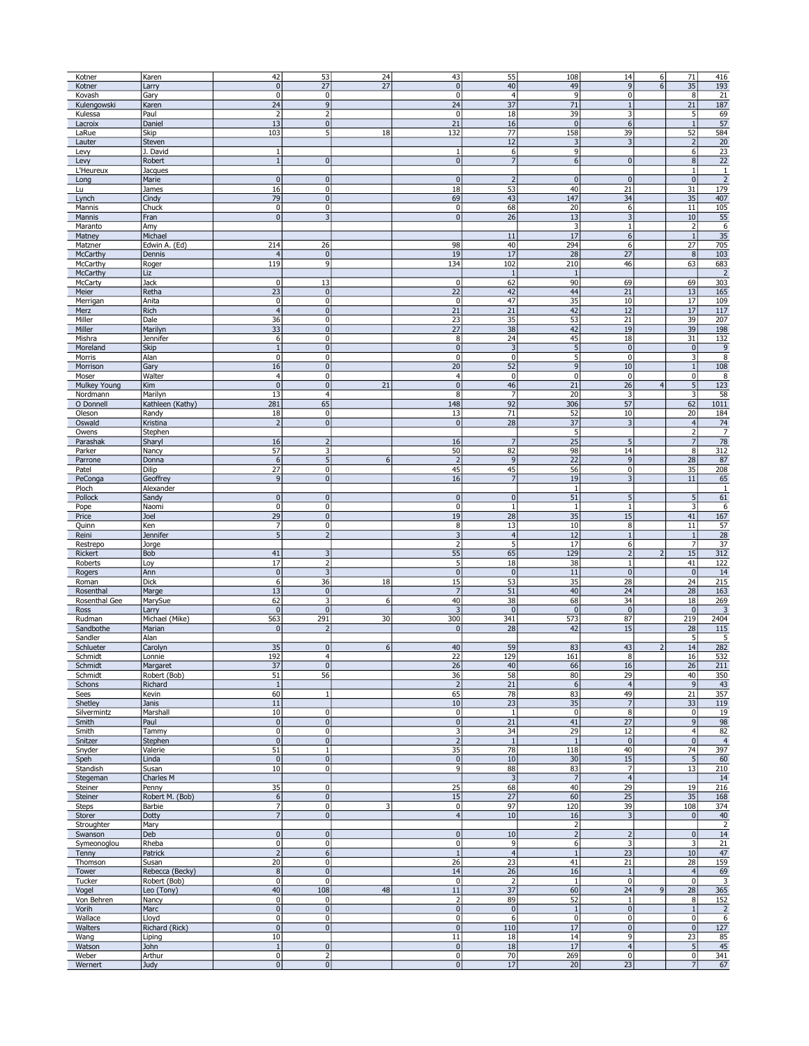|        | Kotner        | Karen            | 42                        | 53                      | 24                      | 43                      | 55              | 108            | 14               | 6              | 71                      | 416            |
|--------|---------------|------------------|---------------------------|-------------------------|-------------------------|-------------------------|-----------------|----------------|------------------|----------------|-------------------------|----------------|
|        | Kotner        | Larry            | 0                         | 27                      | 27                      | $\pmb{0}$               | 40              | 49             | 9                | 6              | 35                      | 193            |
|        | Kovash        |                  | $\overline{0}$            | 0                       |                         | $\overline{0}$          | $\overline{4}$  | $\overline{9}$ | $\overline{0}$   |                | 8                       | 21             |
|        |               | Gary             | 24                        | $\overline{9}$          |                         | 24                      | $\overline{37}$ | 71             |                  |                | 21                      |                |
|        | Kulengowski   | Karen            |                           |                         |                         |                         |                 |                | $1\,$            |                |                         | 187            |
|        | Kulessa       | Paul             | $\overline{2}$            | $\overline{2}$          |                         | $\mathbf 0$             | 18              | 39             | 3                |                | 5 <sup>1</sup>          | 69             |
|        | Lacroix       | Daniel           | 13                        | $\pmb{0}$               |                         | 21                      | 16              | 0              | $6\overline{6}$  |                | $\mathbf{1}$            | 57             |
|        | LaRue         | Skip             | 103                       | 5                       | 18                      | 132                     | 77              | 158            | 39               |                | 52                      | 584            |
|        | Lauter        | Steven           |                           |                         |                         |                         | 12              | 3              | 3                |                | $\overline{2}$          | 20             |
| Levy   |               | J. David         | $\,1\,$                   |                         |                         | $\mathbf{1}$            | 6               | $\mathsf{g}$   |                  |                | 6 <sup>1</sup>          | 23             |
| Levy   |               | Robert           | 1                         | $\pmb{0}$               |                         | $\overline{0}$          | 7               | 6 <sup>1</sup> | $\mathbf 0$      |                | 8 <sup>1</sup>          | 22             |
|        | L'Heureux     | Jacques          |                           |                         |                         |                         |                 |                |                  |                | $\vert$                 | $\mathbf{1}$   |
| Long   |               | Marie            | 0                         | $\pmb{0}$               |                         | $\pmb{0}$               | $\overline{2}$  | 0              | $\pmb{0}$        |                | 0                       | $\overline{2}$ |
|        |               |                  |                           |                         |                         |                         |                 |                |                  |                |                         |                |
| Lu     |               | James            | 16                        | $\pmb{0}$               |                         | 18                      | 53              | 40             | 21               |                | 31                      | 179            |
| Lynch  |               | Cindy            | 79                        | $\pmb{0}$               |                         | 69                      | 43              | 147            | 34               |                | 35                      | 407            |
|        | Mannis        | Chuck            | $\overline{0}$            | $\pmb{0}$               |                         | $\mathbf 0$             | 68              | 20             | 6                |                | 11                      | 105            |
|        | Mannis        | Fran             | $\overline{0}$            | 3                       |                         | $\pmb{0}$               | 26              | 13             | 3                |                | 10                      | 55             |
|        | Maranto       | Amy              |                           |                         |                         |                         |                 | 3              | $\mathbf{1}$     |                | 2                       | 6              |
|        | Matney        | Michael          |                           |                         |                         |                         | 11              | 17             | $\boldsymbol{6}$ |                | $\vert$ 1               | 35             |
|        | Matzner       | Edwin A. (Ed)    | 214                       | 26                      |                         | 98                      | 40              | 294            | 6                |                | $\overline{27}$         | 705            |
|        | McCarthy      | Dennis           | $\vert 4 \vert$           | $\pmb{0}$               |                         | 19                      | 17              | 28             | 27               |                | 8 <sup>1</sup>          | 103            |
|        |               |                  |                           |                         |                         |                         |                 |                |                  |                |                         |                |
|        | McCarthy      | Roger            | 119                       | 9                       |                         | 134                     | 102             | 210            | 46               |                | 63                      | 683            |
|        | McCarthy      | Liz              |                           |                         |                         |                         | $\mathbf{1}$    | $\mathbf{1}$   |                  |                |                         | $\overline{2}$ |
|        | McCarty       | Jack             | 0                         | 13                      |                         | $\pmb{0}$               | 62              | 90             | 69               |                | 69                      | 303            |
| Meier  |               | Retha            | 23                        | $\pmb{0}$               |                         | 22                      | 42              | 44             | 21               |                | 13                      | 165            |
|        | Merrigan      | Anita            | 0                         | $\pmb{0}$               |                         | $\mathbf{0}$            | 47              | 35             | 10               |                | 17                      | 109            |
| Merz   |               | Rich             | 4                         | $\pmb{0}$               |                         | 21                      | 21              | 42             | 12               |                | 17                      | 117            |
| Miller |               | Dale             | 36                        | $\pmb{0}$               |                         | 23                      | 35              | 53             | 21               |                | 39                      | 207            |
| Miller |               | Marilyn          | 33                        | $\pmb{0}$               |                         | $\overline{27}$         | 38              | 42             | 19               |                | 39                      | 198            |
|        |               |                  |                           |                         |                         |                         |                 |                |                  |                |                         |                |
|        | Mishra        | Jennifer         | 6                         | $\pmb{0}$               |                         | 8                       | 24              | 45             | 18               |                | 31                      | 132            |
|        | Moreland      | Skip             | 1                         | $\pmb{0}$               |                         | $\pmb{0}$               | 3               | 5              | $\pmb{0}$        |                | 0                       | 9              |
|        | Morris        | Alan             | 0                         | 0                       |                         | $\mathbf{0}$            | $\mathbf{0}$    | 5 <sup>1</sup> | $\pmb{0}$        |                | $\overline{\mathbf{3}}$ | 8              |
|        | Morrison      | Gary             | 16                        | $\pmb{0}$               |                         | 20                      | 52              | $\overline{9}$ | 10               |                | $1\vert$                | 108            |
| Moser  |               | Walter           | $\overline{4}$            | $\pmb{0}$               |                         | $\overline{4}$          | $\mathbf 0$     | $\overline{0}$ | $\pmb{0}$        |                | $\overline{0}$          | 8              |
|        | Mulkey Young  | Kim              | 0                         | $\pmb{0}$               | 21                      | $\pmb{0}$               | 46              | 21             | 26               | $\overline{4}$ | 5 <sup>1</sup>          | 123            |
|        | Nordmann      | Marilyn          | 13                        | $\overline{4}$          |                         | 8                       | $\overline{7}$  | 20             | 3                |                | $\overline{\mathbf{3}}$ | 58             |
|        | O Donnell     |                  | 281                       | 65                      |                         | 148                     | 92              | 306            |                  |                | 62                      | 1011           |
|        |               | Kathleen (Kathy) |                           |                         |                         |                         |                 |                | 57               |                |                         |                |
|        | Oleson        | Randy            | 18                        | $\pmb{0}$               |                         | 13                      | $\overline{71}$ | 52             | 10               |                | 20                      | 184            |
|        | Oswald        | Kristina         | $\vert$ 2                 | $\pmb{0}$               |                         | $\pmb{0}$               | 28              | 37             | 3                |                | $\left 4\right $        | 74             |
|        | Owens         | Stephen          |                           |                         |                         |                         |                 | 5              |                  |                | $\overline{2}$          | $\overline{7}$ |
|        | Parashak      | Shary            | 16                        | $\overline{2}$          |                         | 16                      | $\overline{7}$  | 25             | 5                |                | 7                       | 78             |
|        | Parker        | Nancy            | 57                        | 3                       |                         | 50                      | 82              | 98             | 14               |                | 8 <sup>1</sup>          | 312            |
|        | Parrone       | Donna            | 6                         | $\sqrt{5}$              | 6                       | $\overline{2}$          | 9               | 22             | 9                |                | 28                      | 87             |
|        |               |                  | 27                        | 0                       |                         | 45                      | 45              |                | $\mathbf{0}$     |                |                         |                |
| Patel  |               | Dilip            |                           |                         |                         |                         |                 | 56             |                  |                | 35                      | 208            |
|        | PeConga       | Geoffrey         | 9                         | $\pmb{0}$               |                         | 16                      | $\overline{7}$  | 19             | 3                |                | 11                      | 65             |
| Ploch  |               | Alexander        |                           |                         |                         |                         |                 | $\mathbf{1}$   |                  |                |                         | 1              |
|        | Pollock       | Sandy            | 0                         | $\mathbf{0}$            |                         | $\overline{0}$          | $\overline{0}$  | 51             | 5                |                | 5 <sub>l</sub>          | 61             |
| Pope   |               | Naomi            | $\overline{0}$            | $\overline{0}$          |                         | $\overline{0}$          | $\overline{1}$  | $\mathbf{1}$   | $1\,$            |                | $\overline{\mathbf{3}}$ | 6              |
| Price  |               | Joel             | 29                        | $\pmb{0}$               |                         | 19                      | 28              | 35             | 15               |                | 41                      | 167            |
| Quinn  |               | Ken              | $\overline{7}$            | $\pmb{0}$               |                         | 8                       | 13              | 10             | 8                |                | 11                      | 57             |
| Reini  |               | Jennifer         | 5 <sup>1</sup>            | $\overline{2}$          |                         | $\overline{3}$          | $\overline{4}$  | 12             | $\mathbf{1}$     |                | $\vert$ 1               | 28             |
|        |               |                  |                           |                         |                         | $\overline{2}$          | 5               |                |                  |                | 7                       |                |
|        | Restrepo      | Jorge            |                           |                         |                         |                         |                 | 17             | 6                |                |                         | 37             |
|        | Rickert       | Bob              | 41                        | 3                       |                         | 55                      | 65              | 129            | $\overline{2}$   | $\overline{z}$ | 15                      | 312            |
|        | Roberts       | Loy              | 17                        | 2                       |                         | 5                       | 18              | 38             | 1                |                | 41                      | 122            |
|        | Rogers        | Ann              | 0                         |                         |                         | $\overline{0}$          | $\overline{0}$  | 11             | $\overline{0}$   |                | $\overline{0}$          | 14             |
|        | Roman         | Dick             | 6 <sup>1</sup>            | 36                      | 18                      | 15                      | 53              | 35             | 28               |                | 24                      | 215            |
|        | Rosenthal     | Marge            | 13                        | $\pmb{0}$               |                         | $\overline{7}$          | 51              | 40             | 24               |                | 28                      | 163            |
|        | Rosenthal Gee | MarySue          | 62                        | 3                       | $6 \mid$                | 40                      | 38              | 68             | 34               |                | 18                      | 269            |
| Ross   |               |                  | 0                         | $\pmb{0}$               |                         | $\overline{3}$          | $\pmb{0}$       | $\mathbf 0$    | $\mathbf{0}$     |                | $\overline{0}$          | 3              |
|        |               | Larry            |                           |                         |                         |                         |                 |                |                  |                |                         |                |
|        | Rudman        | Michael (Mike)   | 563                       | 291                     | 30                      | 300                     | 341             | 573            | 87               |                | 219                     | 2404           |
|        | Sandbothe     | Marian           | 0                         | $\overline{2}$          |                         | $\mathbf{0}$            | 28              | 42             | 15               |                | 28                      | 115            |
|        | Sandler       | Alan             |                           |                         |                         |                         |                 |                |                  |                | 5 <sup>5</sup>          | 5              |
|        | Schlueter     | Carolyn          | 35                        | $\pmb{0}$               | 6 <sup>1</sup>          | 40                      | 59              | 83             | 43               | $\overline{2}$ | 14                      | 282            |
|        | Schmidt       | Lonnie           | 192                       | $\overline{4}$          |                         | 22                      | 129             | 161            | 8                |                | 16                      | 532            |
|        | Schmidt       | Margaret         | 37                        | 0                       |                         | 26                      | 40              | 66             | 16               |                | 26                      | 211            |
|        | Schmidt       | Robert (Bob)     | 51                        | 56                      |                         | 36                      | 58              | 80             | 29               |                | 40                      | 350            |
|        | Schons        | Richard          | $1\,$                     |                         |                         | $\overline{2}$          | 21              | 6              | $\overline{4}$   |                | 9                       | 43             |
| Sees   |               | Kevin            | 60                        | $\mathbf{1}$            |                         | 65                      | 78              | 83             | 49               |                | 21                      | 357            |
|        |               |                  |                           |                         |                         |                         | 23              |                | $\overline{7}$   |                |                         |                |
|        | Shetley       | Janis            | $11\,$                    | $\pmb{0}$               |                         | 10                      |                 | 35<br> 0       |                  |                | 33<br>$\overline{0}$    | 119            |
|        | Silvermintz   | Marshall         | 10 <sub>1</sub>           |                         |                         | $\pmb{0}$               | $1\,$           |                | 8                |                |                         | 19             |
|        | Smith         | Paul             | 0                         | $\pmb{0}$               |                         | $\pmb{0}$               | 21              | 41             | 27               |                | 9                       | 98             |
|        | Smith         | Tammy            | $\overline{0}$            | $\pmb{0}$               |                         | 3                       | 34              | 29             | 12               |                | 4 <sup>1</sup>          | 82             |
|        | Snitzer       | Stephen          | $\overline{0}$            | $\overline{0}$          |                         | $\overline{2}$          | $\vert$ 1       | $\overline{1}$ | $\mathbf 0$      |                | $\overline{0}$          | $\overline{4}$ |
|        | Snyder        | Valerie          | 51                        | $\mathbf{1}$            |                         | 35                      | 78              | 118            | 40               |                | 74                      | 397            |
| Speh   |               | Linda            | 0                         | $\pmb{0}$               |                         | $\pmb{0}$               | 10              | 30             | 15               |                | 5                       | 60             |
|        | Standish      | Susan            | 10                        | 0                       |                         | 9                       | 88              | 83             | $\overline{7}$   |                | 13                      | 210            |
|        | Stegeman      | Charles M        |                           |                         |                         |                         | $\overline{3}$  | $\overline{7}$ | $\overline{4}$   |                |                         | 14             |
|        |               | Penny            | 35                        | $\pmb{0}$               |                         | 25                      | 68              | 40             | 29               |                | 19                      | 216            |
|        | Steiner       |                  |                           |                         |                         | $\overline{15}$         |                 |                |                  |                |                         |                |
|        | Steiner       | Robert M. (Bob)  | $6 \overline{6}$          | 0                       |                         |                         | 27              | 60             | 25               |                | 35                      | 168            |
| Steps  |               | Barbie           | $\overline{7}$            | $\pmb{0}$               | $\overline{\mathbf{3}}$ | $\mathbf 0$             | 97              | 120            | 39               |                | 108                     | 374            |
|        | Storer        | Dotty            | $\overline{7}$            | $\pmb{0}$               |                         | $\overline{4}$          | $10\,$          | 16             | 3                |                | $\overline{0}$          | 40             |
|        | Stroughter    | Mary             |                           |                         |                         |                         |                 | $\overline{2}$ |                  |                |                         | 2              |
|        | Swanson       | Deb              | $\overline{0}$            | $\pmb{0}$               |                         | $\overline{0}$          | 10              | $\overline{2}$ | $\overline{2}$   |                | 0                       | 14             |
|        | Symeonoglou   | Rheba            | $\overline{0}$            | $\pmb{0}$               |                         | $\pmb{0}$               | 9               | 6              | 3                |                | $\overline{\mathbf{3}}$ | 21             |
|        | Tenny         | Patrick          | 2                         | $\boldsymbol{6}$        |                         | $1\,$                   | $\overline{4}$  | $1\,$          | 23               |                | 10 <sup>1</sup>         | 47             |
|        | Thomson       | Susan            | 20                        | $\pmb{0}$               |                         | 26                      | 23              | 41             | 21               |                | 28                      | 159            |
|        |               |                  |                           | $\overline{0}$          |                         |                         |                 |                |                  |                | $\overline{4}$          |                |
|        | Tower         | Rebecca (Becky)  | $\overline{8}$            |                         |                         | 14                      | 26              | 16             | $\mathbf{1}$     |                |                         | 69             |
|        | Tucker        | Robert (Bob)     | $\overline{0}$            | $\pmb{0}$               |                         | $\mathbf 0$             | $\overline{2}$  | $1\,$          | $\pmb{0}$        |                | $\overline{0}$          | 3              |
| Vogel  |               | Leo (Tony)       | 40                        | 108                     | 48                      | $11\,$                  | 37              | 60             | 24               | 9              | 28                      | 365            |
|        | Von Behren    | Nancy            | 0                         | 0                       |                         | $\overline{2}$          | 89              | 52             | $\mathbf{1}$     |                | 8 <sup>1</sup>          | 152            |
| Vorih  |               | Marc             | $\overline{0}$            | $\overline{\mathbf{0}}$ |                         | $\overline{0}$          | $\overline{0}$  | $\vert$ 1      | $\overline{0}$   |                | 1                       | $\overline{2}$ |
|        | Wallace       | Lloyd            | 0                         | $\pmb{0}$               |                         | $\mathbf 0$             | 6               | 0              | $\pmb{0}$        |                | $\overline{0}$          | 6              |
|        | Walters       | Richard (Rick)   | 0                         | $\pmb{0}$               |                         | $\overline{0}$          | 110             | 17             | $\pmb{0}$        |                | 0                       | 127            |
|        | Wang          | Liping           | 10                        |                         |                         | $11\,$                  | 18              | 14             | 9                |                | 23                      | 85             |
|        | Watson        |                  | 1                         | $\pmb{0}$               |                         | $\pmb{0}$               | 18              | 17             | $\overline{4}$   |                | 5 <sup>1</sup>          | 45             |
|        |               | John             |                           |                         |                         |                         |                 |                |                  |                |                         |                |
|        | Weber         | Arthur           | 0                         | $\overline{2}$          |                         | $\pmb{0}$               | 70              | 269            | $\pmb{0}$        |                | $\overline{0}$          | 341            |
|        | Wernert       | Judy             | $\overline{\mathfrak{o}}$ | 0                       |                         | $\overline{\mathbf{0}}$ | 17              | 20             | 23               |                | 7 <sup>1</sup>          | 67             |